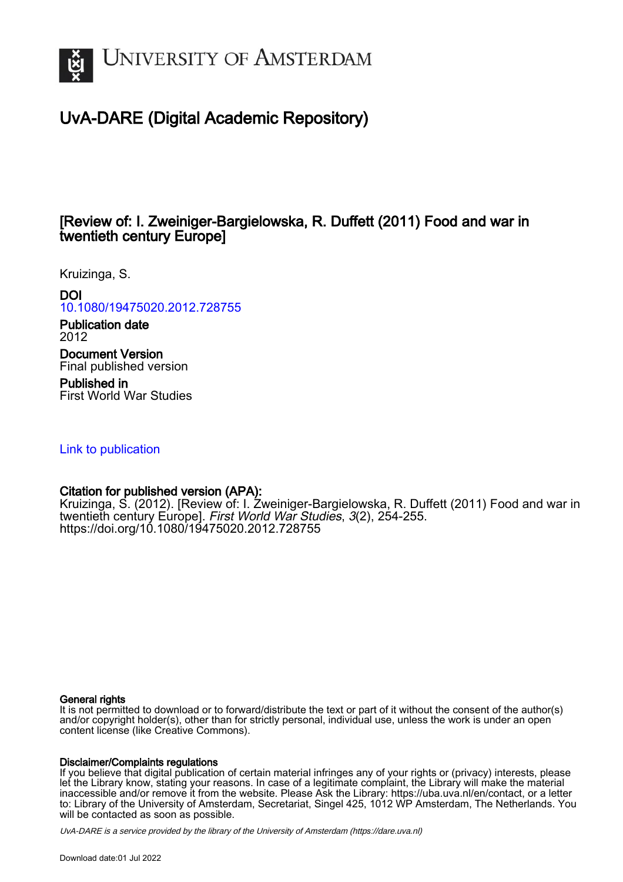

# UvA-DARE (Digital Academic Repository)

## [Review of: I. Zweiniger-Bargielowska, R. Duffett (2011) Food and war in twentieth century Europe]

Kruizinga, S.

## DOI

[10.1080/19475020.2012.728755](https://doi.org/10.1080/19475020.2012.728755)

Publication date 2012

Document Version Final published version

Published in First World War Studies

[Link to publication](https://dare.uva.nl/personal/pure/en/publications/review-of-i-zweinigerbargielowska-r-duffett-2011-food-and-war-in-twentieth-century-europe(7d4acad3-c21e-46ec-bda0-e2a175206d5e).html)

## Citation for published version (APA):

Kruizinga, S. (2012). [Review of: I. Zweiniger-Bargielowska, R. Duffett (2011) Food and war in twentieth century Europe]. First World War Studies, 3(2), 254-255. <https://doi.org/10.1080/19475020.2012.728755>

#### General rights

It is not permitted to download or to forward/distribute the text or part of it without the consent of the author(s) and/or copyright holder(s), other than for strictly personal, individual use, unless the work is under an open content license (like Creative Commons).

#### Disclaimer/Complaints regulations

If you believe that digital publication of certain material infringes any of your rights or (privacy) interests, please let the Library know, stating your reasons. In case of a legitimate complaint, the Library will make the material inaccessible and/or remove it from the website. Please Ask the Library: https://uba.uva.nl/en/contact, or a letter to: Library of the University of Amsterdam, Secretariat, Singel 425, 1012 WP Amsterdam, The Netherlands. You will be contacted as soon as possible.

UvA-DARE is a service provided by the library of the University of Amsterdam (http*s*://dare.uva.nl)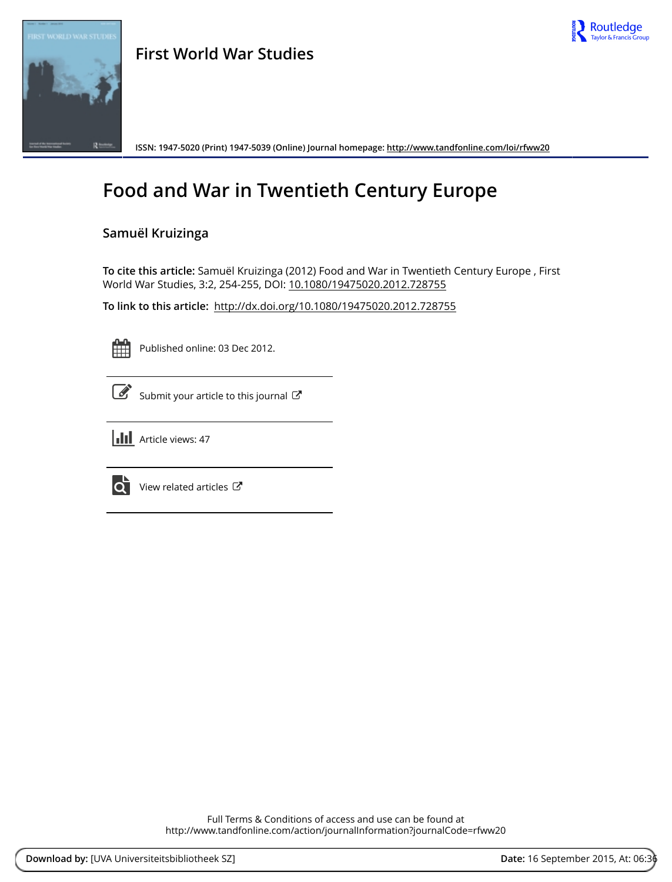

## **First World War Studies**



**ISSN: 1947-5020 (Print) 1947-5039 (Online) Journal homepage:<http://www.tandfonline.com/loi/rfww20>**

# **Food and War in Twentieth Century Europe**

## **Samuël Kruizinga**

**To cite this article:** Samuël Kruizinga (2012) Food and War in Twentieth Century Europe , First World War Studies, 3:2, 254-255, DOI: [10.1080/19475020.2012.728755](http://www.tandfonline.com/action/showCitFormats?doi=10.1080/19475020.2012.728755)

**To link to this article:** <http://dx.doi.org/10.1080/19475020.2012.728755>



Published online: 03 Dec 2012.



 $\overline{\mathscr{L}}$  [Submit your article to this journal](http://www.tandfonline.com/action/authorSubmission?journalCode=rfww20&page=instructions)  $\mathscr{F}$ 





[View related articles](http://www.tandfonline.com/doi/mlt/10.1080/19475020.2012.728755) C

Full Terms & Conditions of access and use can be found at <http://www.tandfonline.com/action/journalInformation?journalCode=rfww20>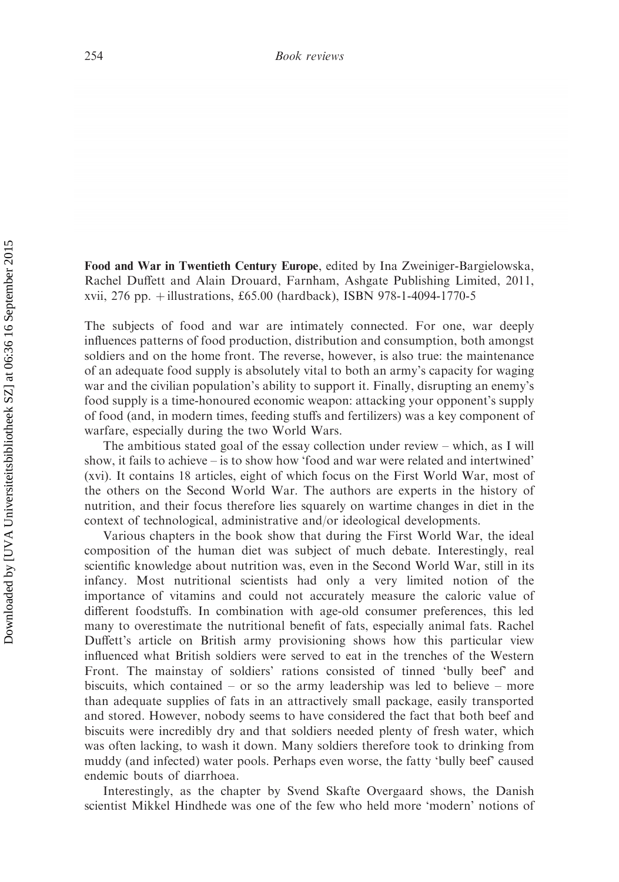Food and War in Twentieth Century Europe, edited by Ina Zweiniger-Bargielowska, Rachel Duffett and Alain Drouard, Farnham, Ashgate Publishing Limited, 2011, xvii, 276 pp. + illustrations, £65.00 (hardback), ISBN 978-1-4094-1770-5

The subjects of food and war are intimately connected. For one, war deeply influences patterns of food production, distribution and consumption, both amongst soldiers and on the home front. The reverse, however, is also true: the maintenance of an adequate food supply is absolutely vital to both an army's capacity for waging war and the civilian population's ability to support it. Finally, disrupting an enemy's food supply is a time-honoured economic weapon: attacking your opponent's supply of food (and, in modern times, feeding stuffs and fertilizers) was a key component of warfare, especially during the two World Wars.

The ambitious stated goal of the essay collection under review – which, as I will show, it fails to achieve – is to show how 'food and war were related and intertwined' (xvi). It contains 18 articles, eight of which focus on the First World War, most of the others on the Second World War. The authors are experts in the history of nutrition, and their focus therefore lies squarely on wartime changes in diet in the context of technological, administrative and/or ideological developments.

Various chapters in the book show that during the First World War, the ideal composition of the human diet was subject of much debate. Interestingly, real scientific knowledge about nutrition was, even in the Second World War, still in its infancy. Most nutritional scientists had only a very limited notion of the importance of vitamins and could not accurately measure the caloric value of different foodstuffs. In combination with age-old consumer preferences, this led many to overestimate the nutritional benefit of fats, especially animal fats. Rachel Duffett's article on British army provisioning shows how this particular view influenced what British soldiers were served to eat in the trenches of the Western Front. The mainstay of soldiers' rations consisted of tinned 'bully beef' and biscuits, which contained – or so the army leadership was led to believe – more than adequate supplies of fats in an attractively small package, easily transported and stored. However, nobody seems to have considered the fact that both beef and biscuits were incredibly dry and that soldiers needed plenty of fresh water, which was often lacking, to wash it down. Many soldiers therefore took to drinking from muddy (and infected) water pools. Perhaps even worse, the fatty 'bully beef' caused endemic bouts of diarrhoea.

Interestingly, as the chapter by Svend Skafte Overgaard shows, the Danish scientist Mikkel Hindhede was one of the few who held more 'modern' notions of